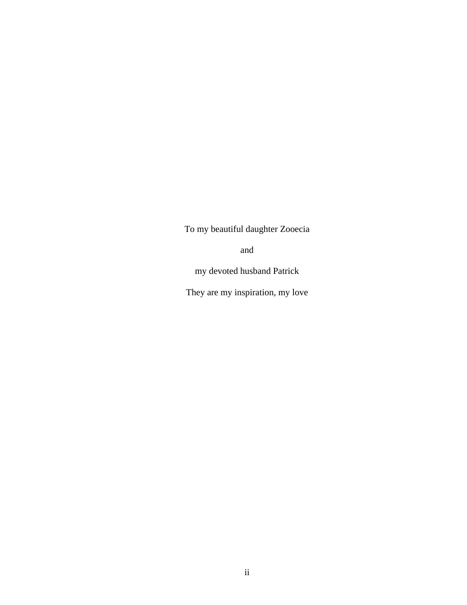To my beautiful daughter Zooecia

and

my devoted husband Patrick

They are my inspiration, my love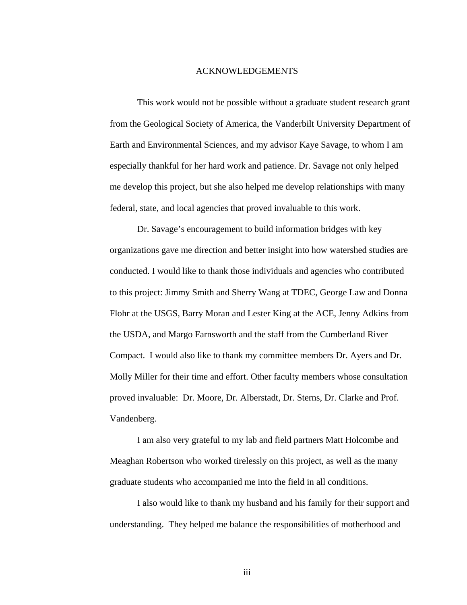## ACKNOWLEDGEMENTS

 This work would not be possible without a graduate student research grant from the Geological Society of America, the Vanderbilt University Department of Earth and Environmental Sciences, and my advisor Kaye Savage, to whom I am especially thankful for her hard work and patience. Dr. Savage not only helped me develop this project, but she also helped me develop relationships with many federal, state, and local agencies that proved invaluable to this work.

Dr. Savage's encouragement to build information bridges with key organizations gave me direction and better insight into how watershed studies are conducted. I would like to thank those individuals and agencies who contributed to this project: Jimmy Smith and Sherry Wang at TDEC, George Law and Donna Flohr at the USGS, Barry Moran and Lester King at the ACE, Jenny Adkins from the USDA, and Margo Farnsworth and the staff from the Cumberland River Compact. I would also like to thank my committee members Dr. Ayers and Dr. Molly Miller for their time and effort. Other faculty members whose consultation proved invaluable: Dr. Moore, Dr. Alberstadt, Dr. Sterns, Dr. Clarke and Prof. Vandenberg.

 I am also very grateful to my lab and field partners Matt Holcombe and Meaghan Robertson who worked tirelessly on this project, as well as the many graduate students who accompanied me into the field in all conditions.

 I also would like to thank my husband and his family for their support and understanding. They helped me balance the responsibilities of motherhood and

iii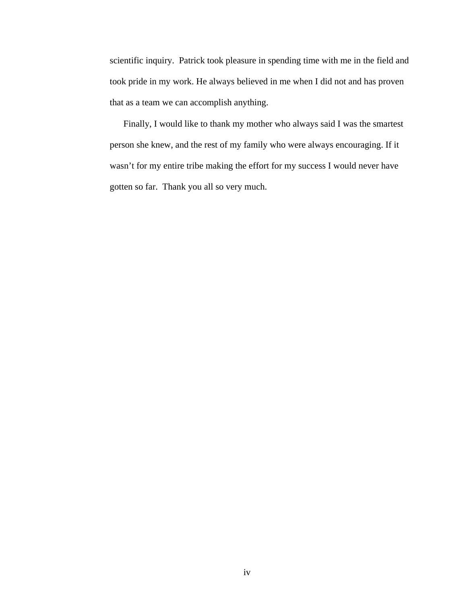scientific inquiry. Patrick took pleasure in spending time with me in the field and took pride in my work. He always believed in me when I did not and has proven that as a team we can accomplish anything.

 Finally, I would like to thank my mother who always said I was the smartest person she knew, and the rest of my family who were always encouraging. If it wasn't for my entire tribe making the effort for my success I would never have gotten so far. Thank you all so very much.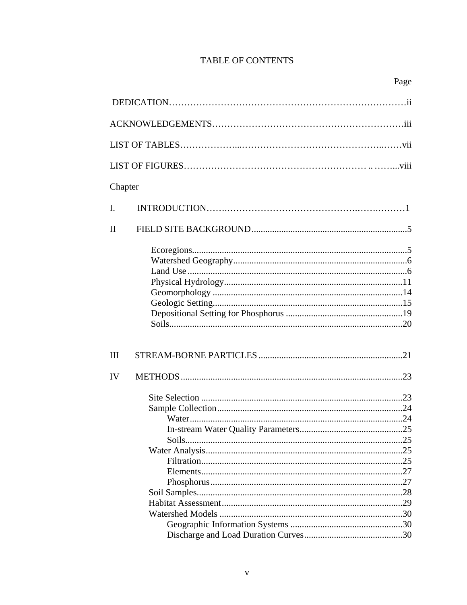## TABLE OF CONTENTS

| Chapter     |  |  |
|-------------|--|--|
| I.          |  |  |
| $_{\rm II}$ |  |  |
|             |  |  |
| Ш           |  |  |
| IV          |  |  |
|             |  |  |
|             |  |  |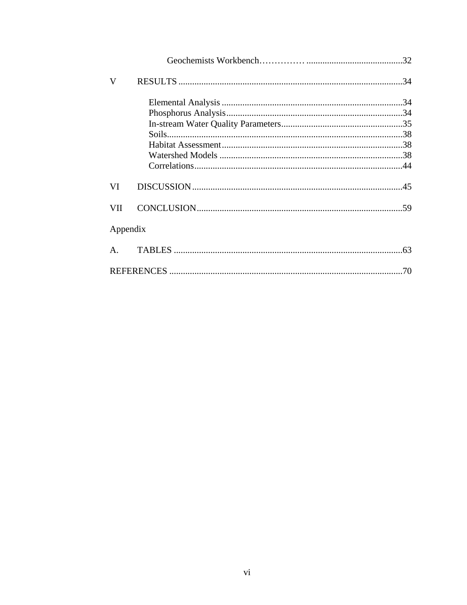| V              |  |
|----------------|--|
|                |  |
|                |  |
|                |  |
|                |  |
|                |  |
|                |  |
|                |  |
| VI             |  |
| <b>VII</b>     |  |
| Appendix       |  |
| $\mathsf{A}$ . |  |
|                |  |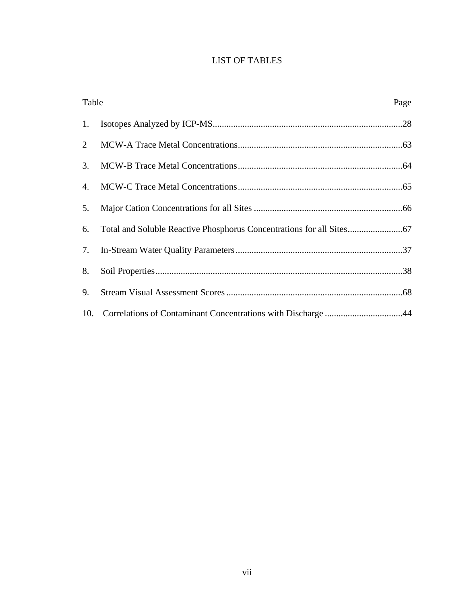## LIST OF TABLES

| Table |                                                                  | Page |
|-------|------------------------------------------------------------------|------|
|       |                                                                  |      |
| 2     |                                                                  |      |
| 3.    |                                                                  |      |
| 4.    |                                                                  |      |
| 5.    |                                                                  |      |
| 6.    |                                                                  |      |
|       |                                                                  |      |
| 8.    |                                                                  |      |
| 9.    |                                                                  |      |
|       | 10. Correlations of Contaminant Concentrations with Discharge 44 |      |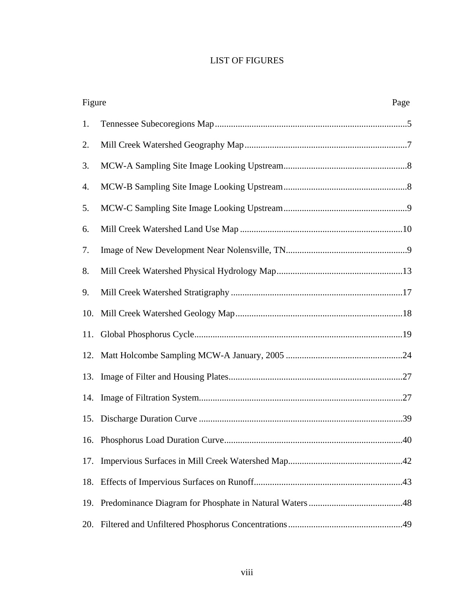## LIST OF FIGURES

| Figure |  | Page |
|--------|--|------|
| 1.     |  |      |
| 2.     |  |      |
| 3.     |  |      |
| 4.     |  |      |
| 5.     |  |      |
| 6.     |  |      |
| 7.     |  |      |
| 8.     |  |      |
| 9.     |  |      |
| 10.    |  |      |
|        |  |      |
| 12.    |  |      |
| 13.    |  |      |
| 14.    |  |      |
|        |  |      |
|        |  |      |
| 17.    |  |      |
| 18.    |  |      |
|        |  |      |
| 20.    |  |      |